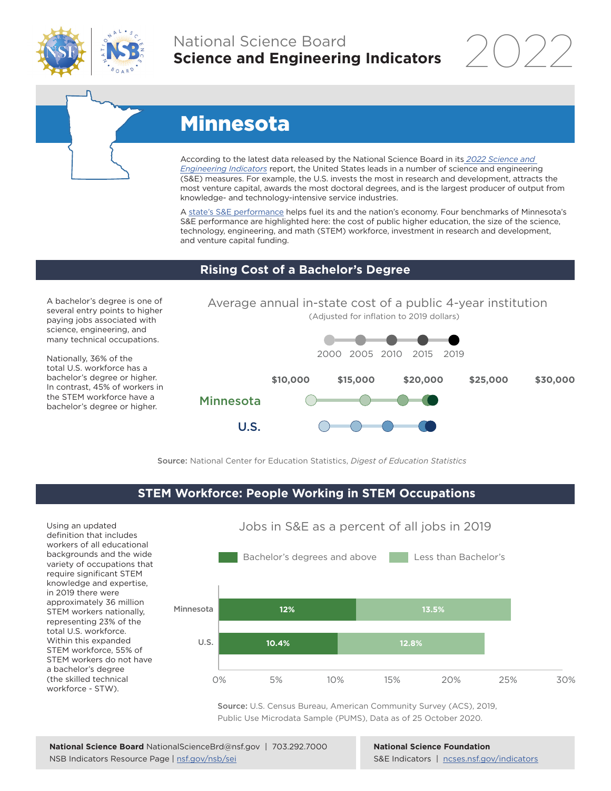

### National Science Board **Science and Engineering Indicators**

2022



## Minnesota

According to the latest data released by the National Science Board in its *[2022 Science and](https://www.ncses.nsf.gov/indicators)  [Engineering Indicators](https://www.ncses.nsf.gov/indicators)* report, the United States leads in a number of science and engineering (S&E) measures. For example, the U.S. invests the most in research and development, attracts the most venture capital, awards the most doctoral degrees, and is the largest producer of output from knowledge- and technology-intensive service industries.

A state's S&E performance helps fuel its and the nation's economy. Four benchmarks of Minnesota's S&E performance are highlighted here: the cost of public higher education, the size of the science, technology, engineering, and math (STEM) workforce, investment in research and development, and venture capital funding.

### **Rising Cost of a Bachelor's Degree**

A bachelor's degree is one of several entry points to higher paying jobs associated with science, engineering, and many technical occupations.

Nationally, 36% of the total U.S. workforce has a bachelor's degree or higher. In contrast, 45% of workers in the STEM workforce have a bachelor's degree or higher.



Source: National Center for Education Statistics, *Digest of Education Statistics*

### **STEM Workforce: People Working in STEM Occupations**

Using an updated definition that includes workers of all educational backgrounds and the wide variety of occupations that require significant STEM knowledge and expertise, in 2019 there were approximately 36 million STEM workers nationally, representing 23% of the total U.S. workforce. Within this expanded STEM workforce, 55% of STEM workers do not have a bachelor's degree (the skilled technical workforce - STW).



Jobs in S&E as a percent of all jobs in 2019

Source: U.S. Census Bureau, American Community Survey (ACS), 2019, Public Use Microdata Sample (PUMS), Data as of 25 October 2020.

**National Science Foundation** S&E Indicators | [ncses.nsf.gov/indicators](https://www.ncses.nsf.gov/indicators)